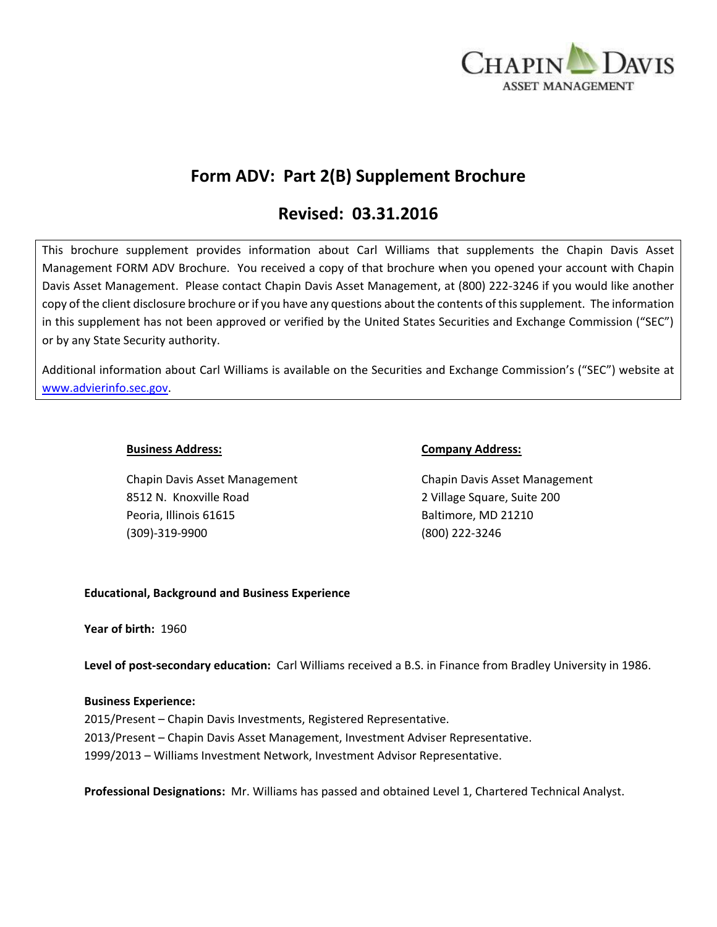

# **Form ADV: Part 2(B) Supplement Brochure**

# **Revised: 03.31.2016**

This brochure supplement provides information about Carl Williams that supplements the Chapin Davis Asset Management FORM ADV Brochure. You received a copy of that brochure when you opened your account with Chapin Davis Asset Management. Please contact Chapin Davis Asset Management, at (800) 222-3246 if you would like another copy of the client disclosure brochure or if you have any questions about the contents of this supplement. The information in this supplement has not been approved or verified by the United States Securities and Exchange Commission ("SEC") or by any State Security authority.

Additional information about Carl Williams is available on the Securities and Exchange Commission's ("SEC") website at [www.advierinfo.sec.gov.](http://www.advierinfo.sec.gov/)

8512 N. Knoxville Road 2 Village Square, Suite 200 Peoria, Illinois 61615 Baltimore, MD 21210 (309)-319-9900 (800) 222-3246

#### **Business Address: Company Address:**

Chapin Davis Asset Management Chapin Davis Asset Management

### **Educational, Background and Business Experience**

**Year of birth:** 1960

**Level of post-secondary education:** Carl Williams received a B.S. in Finance from Bradley University in 1986.

### **Business Experience:**

2015/Present – Chapin Davis Investments, Registered Representative. 2013/Present – Chapin Davis Asset Management, Investment Adviser Representative. 1999/2013 – Williams Investment Network, Investment Advisor Representative.

**Professional Designations:** Mr. Williams has passed and obtained Level 1, Chartered Technical Analyst.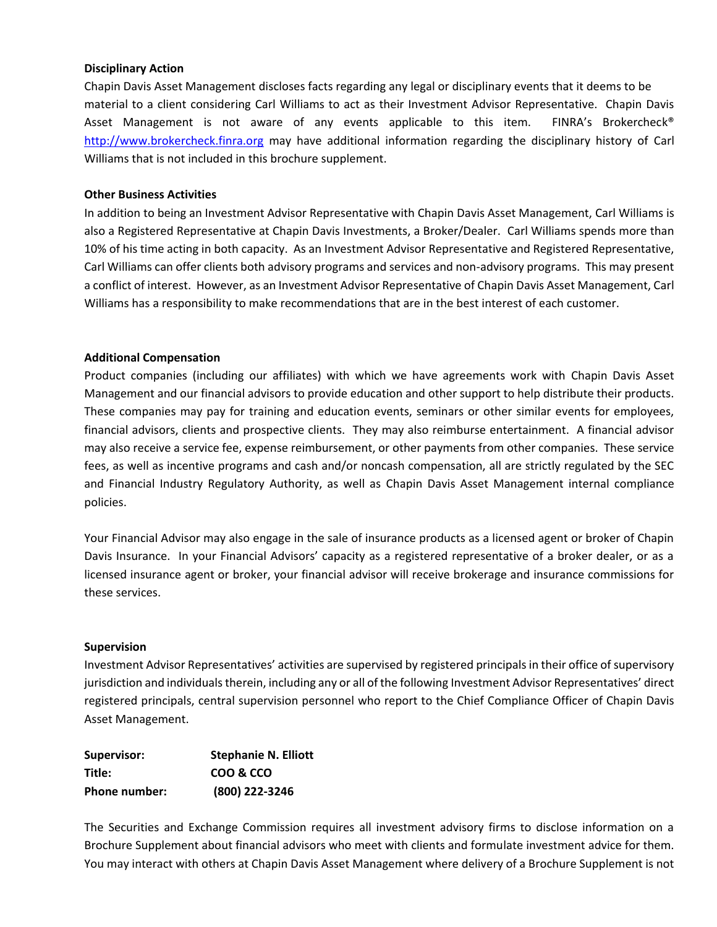#### **Disciplinary Action**

Chapin Davis Asset Management discloses facts regarding any legal or disciplinary events that it deems to be material to a client considering Carl Williams to act as their Investment Advisor Representative. Chapin Davis Asset Management is not aware of any events applicable to this item. FINRA's Brokercheck® [http://www.brokercheck.finra.org](http://www.brokercheck.finra.org/) may have additional information regarding the disciplinary history of Carl Williams that is not included in this brochure supplement.

#### **Other Business Activities**

In addition to being an Investment Advisor Representative with Chapin Davis Asset Management, Carl Williams is also a Registered Representative at Chapin Davis Investments, a Broker/Dealer. Carl Williams spends more than 10% of his time acting in both capacity. As an Investment Advisor Representative and Registered Representative, Carl Williams can offer clients both advisory programs and services and non-advisory programs. This may present a conflict of interest. However, as an Investment Advisor Representative of Chapin Davis Asset Management, Carl Williams has a responsibility to make recommendations that are in the best interest of each customer.

#### **Additional Compensation**

Product companies (including our affiliates) with which we have agreements work with Chapin Davis Asset Management and our financial advisors to provide education and other support to help distribute their products. These companies may pay for training and education events, seminars or other similar events for employees, financial advisors, clients and prospective clients. They may also reimburse entertainment. A financial advisor may also receive a service fee, expense reimbursement, or other payments from other companies. These service fees, as well as incentive programs and cash and/or noncash compensation, all are strictly regulated by the SEC and Financial Industry Regulatory Authority, as well as Chapin Davis Asset Management internal compliance policies.

Your Financial Advisor may also engage in the sale of insurance products as a licensed agent or broker of Chapin Davis Insurance. In your Financial Advisors' capacity as a registered representative of a broker dealer, or as a licensed insurance agent or broker, your financial advisor will receive brokerage and insurance commissions for these services.

#### **Supervision**

Investment Advisor Representatives' activities are supervised by registered principals in their office of supervisory jurisdiction and individuals therein, including any or all of the following Investment Advisor Representatives' direct registered principals, central supervision personnel who report to the Chief Compliance Officer of Chapin Davis Asset Management.

| Supervisor:   | <b>Stephanie N. Elliott</b> |
|---------------|-----------------------------|
| Title:        | COO & CCO                   |
| Phone number: | (800) 222-3246              |

The Securities and Exchange Commission requires all investment advisory firms to disclose information on a Brochure Supplement about financial advisors who meet with clients and formulate investment advice for them. You may interact with others at Chapin Davis Asset Management where delivery of a Brochure Supplement is not